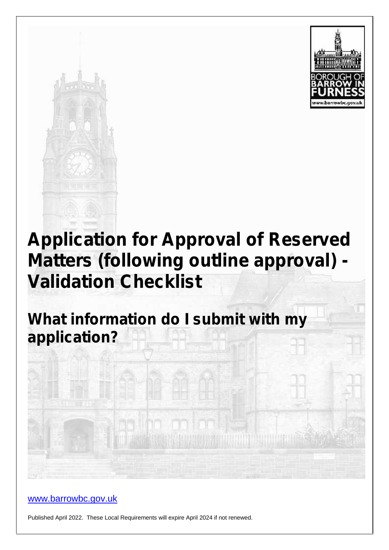



# **Application for Approval of Reserved Matters (following outline approval) - Validation Checklist**

**What information do I submit with my application?**

www.barrowbc.gov.uk

Published April 2022. These Local Requirements will expire April 2024 if not renewed.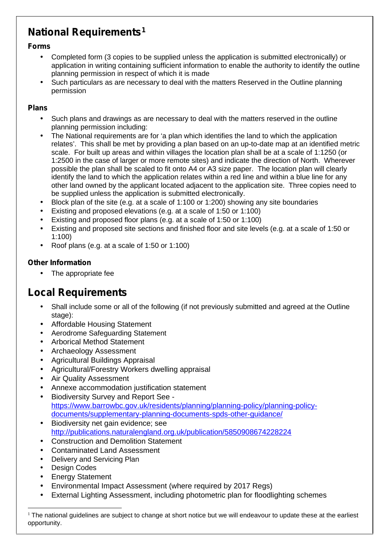## **National Requirements<sup>1</sup>**

#### **Forms**

- Completed form (3 copies to be supplied unless the application is submitted electronically) or application in writing containing sufficient information to enable the authority to identify the outline planning permission in respect of which it is made
- Such particulars as are necessary to deal with the matters Reserved in the Outline planning permission

#### **Plans**

- Such plans and drawings as are necessary to deal with the matters reserved in the outline planning permission including:
- The National requirements are for 'a plan which identifies the land to which the application relates'. This shall be met by providing a plan based on an up-to-date map at an identified metric scale. For built up areas and within villages the location plan shall be at a scale of 1:1250 (or 1:2500 in the case of larger or more remote sites) and indicate the direction of North. Wherever possible the plan shall be scaled to fit onto A4 or A3 size paper. The location plan will clearly identify the land to which the application relates within a red line and within a blue line for any other land owned by the applicant located adjacent to the application site. Three copies need to be supplied unless the application is submitted electronically.
- Block plan of the site (e.g. at a scale of 1:100 or 1:200) showing any site boundaries
- Existing and proposed elevations (e.g. at a scale of 1:50 or 1:100)
- Existing and proposed floor plans (e.g. at a scale of 1:50 or 1:100)
- Existing and proposed site sections and finished floor and site levels (e.g. at a scale of 1:50 or 1:100)
- Roof plans (e.g. at a scale of 1:50 or 1:100)

#### **Other Information**

 $\int$  The appropriate fee

### **Local Requirements**

- Shall include some or all of the following (if not previously submitted and agreed at the Outline stage):
- Affordable Housing Statement
- Aerodrome Safeguarding Statement
- Arborical Method Statement
- Archaeology Assessment
- Agricultural Buildings Appraisal
- Agricultural/Forestry Workers dwelling appraisal
- Air Quality Assessment
- Annexe accommodation justification statement
- Biodiversity Survey and Report See https://www.barrowbc.gov.uk/residents/planning/planning-policy/planning-policy documents/supplementary-planning-documents-spds-other-guidance/
- Biodiversity net gain evidence; see http://publications.naturalengland.org.uk/publication/5850908674228224
- Construction and Demolition Statement
- Contaminated Land Assessment
- Delivery and Servicing Plan
- Design Codes
- Energy Statement
- Environmental Impact Assessment (where required by 2017 Regs)
- External Lighting Assessment, including photometric plan for floodlighting schemes

 $1$  The national guidelines are subject to change at short notice but we will endeavour to update these at the earliest opportunity.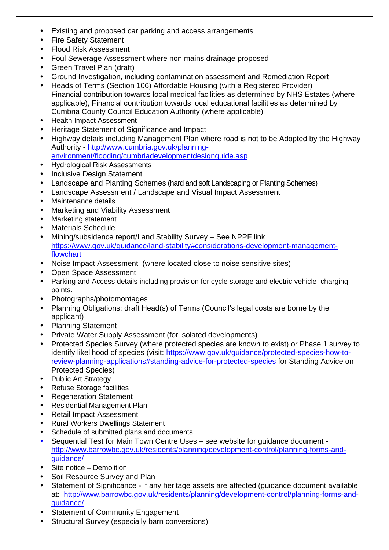Existing and proposed car parking and access arrangements Fire Safety Statement Flood Risk Assessment Foul Sewerage Assessment where non mains drainage proposed Green Travel Plan (draft) Ground Investigation, including contamination assessment and Remediation Report Heads of Terms (Section 106) Affordable Housing (with a Registered Provider) Financial contribution towards local medical facilities as determined by NHS Estates (where applicable), Financial contribution towards local educational facilities as determined by Cumbria County Council Education Authority (where applicable) Health Impact Assessment Heritage Statement of Significance and Impact Highway details including Management Plan where road is not to be Adopted by the Highway Authority - http://www.cumbria.gov.uk/planning environment/flooding/cumbriadevelopmentdesignguide.asp Hydrological Risk Assessments Inclusive Design Statement Landscape and Planting Schemes (hard and soft Landscaping or Planting Schemes) Landscape Assessment / Landscape and Visual Impact Assessment Maintenance details Marketing and Viability Assessment Marketing statement Materials Schedule Mining/subsidence report/Land Stability Survey – See NPPF link https://www.gov.uk/guidance/land-stability#considerations-development-managementflowchart Noise Impact Assessment (where located close to noise sensitive sites) Open Space Assessment Parking and Access details including provision for cycle storage and electric vehicle charging points. Photographs/photomontages Planning Obligations; draft Head(s) of Terms (Council's legal costs are borne by the applicant) Planning Statement Private Water Supply Assessment (for isolated developments) Protected Species Survey (where protected species are known to exist) or Phase 1 survey to identify likelihood of species (visit: https://www.gov.uk/guidance/protected-species-how-toreview-planning-applications#standing-advice-for-protected-species for Standing Advice on Protected Species) Public Art Strategy Refuse Storage facilities Regeneration Statement Residential Management Plan Retail Impact Assessment Rural Workers Dwellings Statement Schedule of submitted plans and documents Sequential Test for Main Town Centre Uses – see website for guidance document http://www.barrowbc.gov.uk/residents/planning/development-control/planning-forms-and quidance/ Site notice – Demolition Soil Resource Survey and Plan Statement of Significance - if any heritage assets are affected (guidance document available at: http://www.barrowbc.gov.uk/residents/planning/development-control/planning-forms-and guidance/ Statement of Community Engagement Structural Survey (especially barn conversions)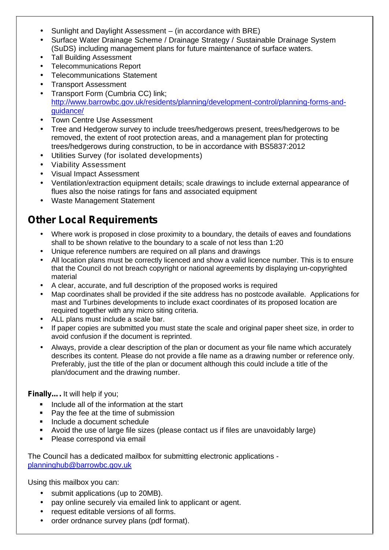- Sunlight and Daylight Assessment (in accordance with BRE)
- Surface Water Drainage Scheme / Drainage Strategy / Sustainable Drainage System (SuDS) including management plans for future maintenance of surface waters.
- Tall Building Assessment
- Telecommunications Report
- Telecommunications Statement
- Transport Assessment
- Transport Form (Cumbria CC) link; http://www.barrowbc.gov.uk/residents/planning/development-control/planning-forms-and guidance/
- Town Centre Use Assessment
- Tree and Hedgerow survey to include trees/hedgerows present, trees/hedgerows to be removed, the extent of root protection areas, and a management plan for protecting trees/hedgerows during construction, to be in accordance with BS5837:2012
- Utilities Survey (for isolated developments)
- Viability Assessment
- Visual Impact Assessment
- Ventilation/extraction equipment details; scale drawings to include external appearance of flues also the noise ratings for fans and associated equipment
- Waste Management Statement

## **Other Local Requirements**

- Where work is proposed in close proximity to a boundary, the details of eaves and foundations shall to be shown relative to the boundary to a scale of not less than 1:20
- Unique reference numbers are required on all plans and drawings
- All location plans must be correctly licenced and show a valid licence number. This is to ensure that the Council do not breach copyright or national agreements by displaying un-copyrighted material
- A clear, accurate, and full description of the proposed works is required
- Map coordinates shall be provided if the site address has no postcode available. Applications for mast and Turbines developments to include exact coordinates of its proposed location are required together with any micro siting criteria.
- ALL plans must include a scale bar.
- If paper copies are submitted you must state the scale and original paper sheet size, in order to avoid confusion if the document is reprinted.
- Always, provide a clear description of the plan or document as your file name which accurately describes its content. Please do not provide a file name as a drawing number or reference only. Preferably, just the title of the plan or document although this could include a title of the plan/document and the drawing number.

#### **Finally….** It will help if you;

- Include all of the information at the start
- Pay the fee at the time of submission
- Include a document schedule
- Avoid the use of large file sizes (please contact us if files are unavoidably large)
- **Please correspond via email**

The Council has a dedicated mailbox for submitting electronic applications planninghub@barrowbc.gov.uk

Using this mailbox you can:

- submit applications (up to 20MB).
- pay online securely via emailed link to applicant or agent.
- request editable versions of all forms.
- order ordnance survey plans (pdf format).